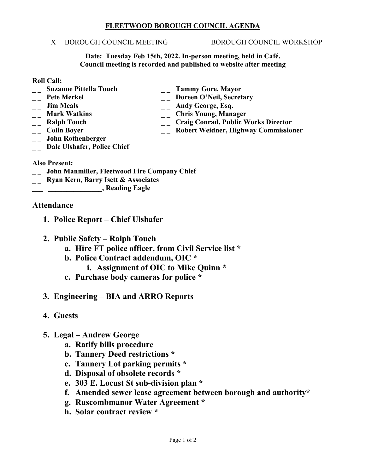## **FLEETWOOD BOROUGH COUNCIL AGENDA**

## \_\_X\_\_ BOROUGH COUNCIL MEETING \_\_\_\_\_ BOROUGH COUNCIL WORKSHOP

**Date: Tuesday Feb 15th, 2022. In-person meeting, held in Café. Council meeting is recorded and published to website after meeting**

#### **Roll Call:**

- 
- 
- 
- 
- 
- 
- **\_ \_ John Rothenberger**
- **\_ \_ Suzanne Pittella Touch \_ \_ Tammy Gore, Mayor** <sup>--</sup> Pete Merkel <sup>--</sup> Doreen O'Neil, Secretary<br>
-- Jim Meals <sup>--</sup> Andy George, Esq.
- **\_ \_ Jim Meals \_ \_ Andy George, Esq.** 
	-
- <sup>1</sup> \_\_ Mark Watkins \_\_ Chris Young, Manager<br>
\_\_ Ralph Touch \_\_ Craig Conrad, Public V **\_ \_ Ralph Touch \_ \_ Craig Conrad, Public Works Director**
	- **\_\_ Robert Weidner, Highway Commissioner**
- **\_ \_ Dale Ulshafer, Police Chief**

## **Also Present:**

- **\_ \_ John Manmiller, Fleetwood Fire Company Chief**
- **\_ \_ Ryan Kern, Barry Isett & Associates**
- **\_\_\_ \_\_\_\_\_\_\_\_\_\_\_\_\_\_\_, Reading Eagle**

# **Attendance**

- **1. Police Report – Chief Ulshafer**
- **2. Public Safety – Ralph Touch**
	- **a. Hire FT police officer, from Civil Service list \***
	- **b. Police Contract addendum, OIC \***
		- **i. Assignment of OIC to Mike Quinn \***
	- **c. Purchase body cameras for police \***
- **3. Engineering – BIA and ARRO Reports**
- **4. Guests**
- **5. Legal – Andrew George**
	- **a. Ratify bills procedure**
	- **b. Tannery Deed restrictions \***
	- **c. Tannery Lot parking permits \***
	- **d. Disposal of obsolete records \***
	- **e. 303 E. Locust St sub-division plan \***
	- **f. Amended sewer lease agreement between borough and authority\***
	- **g. Ruscombmanor Water Agreement \***
	- **h. Solar contract review \***